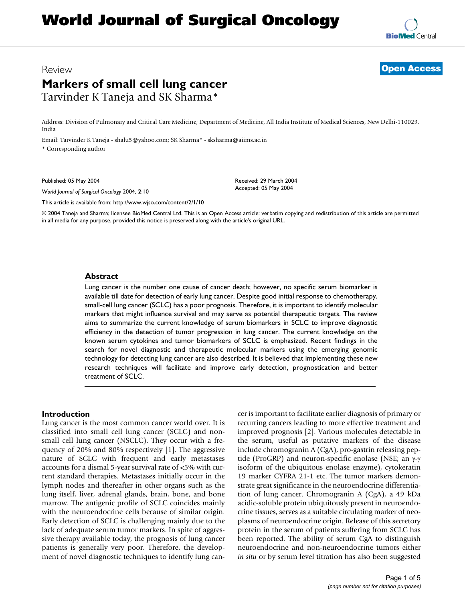**[BioMed](http://www.biomedcentral.com/)** Central

## Review **[Open Access](http://www.biomedcentral.com/info/about/charter/)**

# **Markers of small cell lung cancer** Tarvinder K Taneja and SK Sharma\*

Address: Division of Pulmonary and Critical Care Medicine; Department of Medicine, All India Institute of Medical Sciences, New Delhi-110029, India

Email: Tarvinder K Taneja - shalu5@yahoo.com; SK Sharma\* - sksharma@aiims.ac.in \* Corresponding author

Published: 05 May 2004

*World Journal of Surgical Oncology* 2004, **2**:10

[This article is available from: http://www.wjso.com/content/2/1/10](http://www.wjso.com/content/2/1/10)

© 2004 Taneja and Sharma; licensee BioMed Central Ltd. This is an Open Access article: verbatim copying and redistribution of this article are permitted in all media for any purpose, provided this notice is preserved along with the article's original URL.

Received: 29 March 2004 Accepted: 05 May 2004

#### **Abstract**

Lung cancer is the number one cause of cancer death; however, no specific serum biomarker is available till date for detection of early lung cancer. Despite good initial response to chemotherapy, small-cell lung cancer (SCLC) has a poor prognosis. Therefore, it is important to identify molecular markers that might influence survival and may serve as potential therapeutic targets. The review aims to summarize the current knowledge of serum biomarkers in SCLC to improve diagnostic efficiency in the detection of tumor progression in lung cancer. The current knowledge on the known serum cytokines and tumor biomarkers of SCLC is emphasized. Recent findings in the search for novel diagnostic and therapeutic molecular markers using the emerging genomic technology for detecting lung cancer are also described. It is believed that implementing these new research techniques will facilitate and improve early detection, prognostication and better treatment of SCLC.

#### **Introduction**

Lung cancer is the most common cancer world over. It is classified into small cell lung cancer (SCLC) and nonsmall cell lung cancer (NSCLC). They occur with a frequency of 20% and 80% respectively [1]. The aggressive nature of SCLC with frequent and early metastases accounts for a dismal 5-year survival rate of <5% with current standard therapies. Metastases initially occur in the lymph nodes and thereafter in other organs such as the lung itself, liver, adrenal glands, brain, bone, and bone marrow. The antigenic profile of SCLC coincides mainly with the neuroendocrine cells because of similar origin. Early detection of SCLC is challenging mainly due to the lack of adequate serum tumor markers. In spite of aggressive therapy available today, the prognosis of lung cancer patients is generally very poor. Therefore, the development of novel diagnostic techniques to identify lung cancer is important to facilitate earlier diagnosis of primary or recurring cancers leading to more effective treatment and improved prognosis [2]. Various molecules detectable in the serum, useful as putative markers of the disease include chromogranin A (CgA), pro-gastrin releasing peptide (ProGRP) and neuron-specific enolase (NSE; an γ-γ isoform of the ubiquitous enolase enzyme), cytokeratin 19 marker CYFRA 21-1 etc. The tumor markers demonstrate great significance in the neuroendocrine differentiation of lung cancer. Chromogranin A (CgA), a 49 kDa acidic-soluble protein ubiquitously present in neuroendocrine tissues, serves as a suitable circulating marker of neoplasms of neuroendocrine origin. Release of this secretory protein in the serum of patients suffering from SCLC has been reported. The ability of serum CgA to distinguish neuroendocrine and non-neuroendocrine tumors either *in situ* or by serum level titration has also been suggested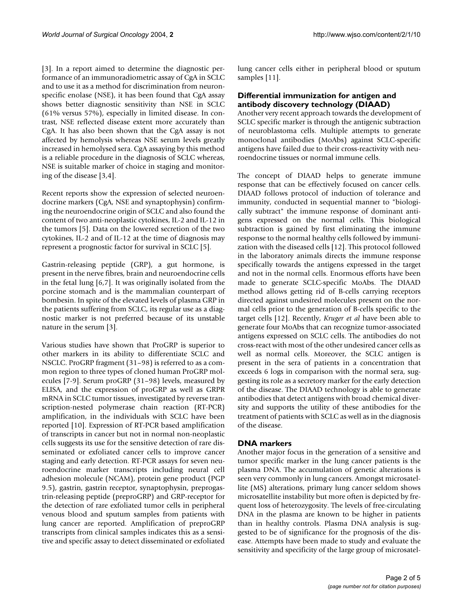[3]. In a report aimed to determine the diagnostic performance of an immunoradiometric assay of CgA in SCLC and to use it as a method for discrimination from neuronspecific enolase (NSE), it has been found that CgA assay shows better diagnostic sensitivity than NSE in SCLC (61% versus 57%), especially in limited disease. In contrast, NSE reflected disease extent more accurately than CgA. It has also been shown that the CgA assay is not affected by hemolysis whereas NSE serum levels greatly increased in hemolysed sera. CgA assaying by this method is a reliable procedure in the diagnosis of SCLC whereas, NSE is suitable marker of choice in staging and monitoring of the disease [3,4].

Recent reports show the expression of selected neuroendocrine markers (CgA, NSE and synaptophysin) confirming the neuroendocrine origin of SCLC and also found the content of two anti-neoplastic cytokines, IL-2 and IL-12 in the tumors [5]. Data on the lowered secretion of the two cytokines, IL-2 and of IL-12 at the time of diagnosis may represent a prognostic factor for survival in SCLC [5].

Gastrin-releasing peptide (GRP), a gut hormone, is present in the nerve fibres, brain and neuroendocrine cells in the fetal lung [6,7]. It was originally isolated from the porcine stomach and is the mammalian counterpart of bombesin. In spite of the elevated levels of plasma GRP in the patients suffering from SCLC, its regular use as a diagnostic marker is not preferred because of its unstable nature in the serum [3].

Various studies have shown that ProGRP is superior to other markers in its ability to differentiate SCLC and NSCLC. ProGRP fragment (31–98) is referred to as a common region to three types of cloned human ProGRP molecules [7-9]. Serum proGRP (31–98) levels, measured by ELISA, and the expression of proGRP as well as GRPR mRNA in SCLC tumor tissues, investigated by reverse transcription-nested polymerase chain reaction (RT-PCR) amplification, in the individuals with SCLC have been reported [10]. Expression of RT-PCR based amplification of transcripts in cancer but not in normal non-neoplastic cells suggests its use for the sensitive detection of rare disseminated or exfoliated cancer cells to improve cancer staging and early detection. RT-PCR assays for seven neuroendocrine marker transcripts including neural cell adhesion molecule (NCAM), protein gene product (PGP 9.5), gastrin, gastrin receptor, synaptophysin, preprogastrin-releasing peptide (preproGRP) and GRP-receptor for the detection of rare exfoliated tumor cells in peripheral venous blood and sputum samples from patients with lung cancer are reported. Amplification of preproGRP transcripts from clinical samples indicates this as a sensitive and specific assay to detect disseminated or exfoliated lung cancer cells either in peripheral blood or sputum samples [11].

#### **Differential immunization for antigen and antibody discovery technology (DIAAD)**

Another very recent approach towards the development of SCLC specific marker is through the antigenic subtraction of neuroblastoma cells. Multiple attempts to generate monoclonal antibodies (MoAbs) against SCLC-specific antigens have failed due to their cross-reactivity with neuroendocrine tissues or normal immune cells.

The concept of DIAAD helps to generate immune response that can be effectively focused on cancer cells. DIAAD follows protocol of induction of tolerance and immunity, conducted in sequential manner to "biologically subtract" the immune response of dominant antigens expressed on the normal cells. This biological subtraction is gained by first eliminating the immune response to the normal healthy cells followed by immunization with the diseased cells [12]. This protocol followed in the laboratory animals directs the immune response specifically towards the antigens expressed in the target and not in the normal cells. Enormous efforts have been made to generate SCLC-specific MoAbs. The DIAAD method allows getting rid of B-cells carrying receptors directed against undesired molecules present on the normal cells prior to the generation of B-cells specific to the target cells [12]. Recently, *Kruger et al* have been able to generate four MoAbs that can recognize tumor-associated antigens expressed on SCLC cells. The antibodies do not cross-react with most of the other undesired cancer cells as well as normal cells. Moreover, the SCLC antigen is present in the sera of patients in a concentration that exceeds 6 logs in comparison with the normal sera, suggesting its role as a secretory marker for the early detection of the disease. The DIAAD technology is able to generate antibodies that detect antigens with broad chemical diversity and supports the utility of these antibodies for the treatment of patients with SCLC as well as in the diagnosis of the disease.

## **DNA markers**

Another major focus in the generation of a sensitive and tumor specific marker in the lung cancer patients is the plasma DNA. The accumulation of genetic alterations is seen very commonly in lung cancers. Amongst microsatellite (MS) alterations, primary lung cancer seldom shows microsatellite instability but more often is depicted by frequent loss of heterozygosity. The levels of free-circulating DNA in the plasma are known to be higher in patients than in healthy controls. Plasma DNA analysis is suggested to be of significance for the prognosis of the disease. Attempts have been made to study and evaluate the sensitivity and specificity of the large group of microsatel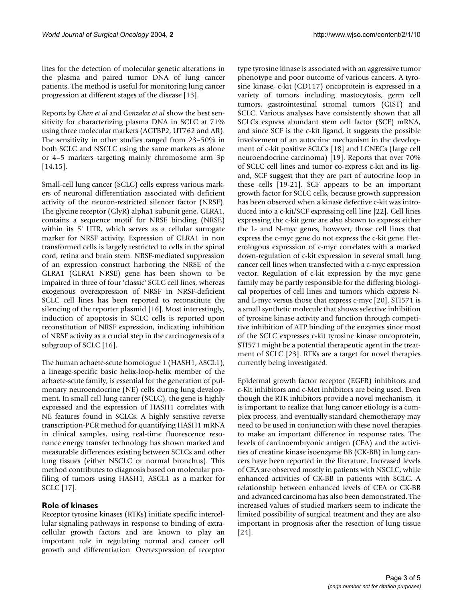lites for the detection of molecular genetic alterations in the plasma and paired tumor DNA of lung cancer patients. The method is useful for monitoring lung cancer progression at different stages of the disease [13].

Reports by *Chen et al* and *Gonzalez et al* show the best sensitivity for characterizing plasma DNA in SCLC at 71% using three molecular markers (ACTBP2, UT762 and AR). The sensitivity in other studies ranged from 23–50% in both SCLC and NSCLC using the same markers as alone or 4–5 markers targeting mainly chromosome arm 3p [14,15].

Small-cell lung cancer (SCLC) cells express various markers of neuronal differentiation associated with deficient activity of the neuron-restricted silencer factor (NRSF). The glycine receptor (GlyR) alpha1 subunit gene, GLRA1, contains a sequence motif for NRSF binding (NRSE) within its 5' UTR, which serves as a cellular surrogate marker for NRSF activity. Expression of GLRA1 in non transformed cells is largely restricted to cells in the spinal cord, retina and brain stem. NRSF-mediated suppression of an expression construct harboring the NRSE of the GLRA1 (GLRA1 NRSE) gene has been shown to be impaired in three of four 'classic' SCLC cell lines, whereas exogenous overexpression of NRSF in NRSF-deficient SCLC cell lines has been reported to reconstitute the silencing of the reporter plasmid [16]. Most interestingly, induction of apoptosis in SCLC cells is reported upon reconstitution of NRSF expression, indicating inhibition of NRSF activity as a crucial step in the carcinogenesis of a subgroup of SCLC [16].

The human achaete-scute homologue 1 (HASH1, ASCL1), a lineage-specific basic helix-loop-helix member of the achaete-scute family, is essential for the generation of pulmonary neuroendocrine (NE) cells during lung development. In small cell lung cancer (SCLC), the gene is highly expressed and the expression of HASH1 correlates with NE features found in SCLCs. A highly sensitive reverse transcription-PCR method for quantifying HASH1 mRNA in clinical samples, using real-time fluorescence resonance energy transfer technology has shown marked and measurable differences existing between SCLCs and other lung tissues (either NSCLC or normal bronchus). This method contributes to diagnosis based on molecular profiling of tumors using HASH1, ASCL1 as a marker for SCLC [17].

## **Role of kinases**

Receptor tyrosine kinases (RTKs) initiate specific intercellular signaling pathways in response to binding of extracellular growth factors and are known to play an important role in regulating normal and cancer cell growth and differentiation. Overexpression of receptor type tyrosine kinase is associated with an aggressive tumor phenotype and poor outcome of various cancers. A tyrosine kinase, c-kit (CD117) oncoprotein is expressed in a variety of tumors including mastocytosis, germ cell tumors, gastrointestinal stromal tumors (GIST) and SCLC. Various analyses have consistently shown that all SCLCs express abundant stem cell factor (SCF) mRNA, and since SCF is the c-kit ligand, it suggests the possible involvement of an autocrine mechanism in the development of c-kit positive SCLCs [18] and LCNECs (large cell neuroendocrine carcinoma) [19]. Reports that over 70% of SCLC cell lines and tumor co-express c-kit and its ligand, SCF suggest that they are part of autocrine loop in these cells [19-21]. SCF appears to be an important growth factor for SCLC cells, because growth suppression has been observed when a kinase defective c-kit was introduced into a c-kit/SCF expressing cell line [22]. Cell lines expressing the c-kit gene are also shown to express either the L- and N-myc genes, however, those cell lines that express the c-myc gene do not express the c-kit gene. Heterologous expression of c-myc correlates with a marked down-regulation of c-kit expression in several small lung cancer cell lines when transfected with a c-myc expression vector. Regulation of c-kit expression by the myc gene family may be partly responsible for the differing biological properties of cell lines and tumors which express Nand L-myc versus those that express c-myc [20]. STI571 is a small synthetic molecule that shows selective inhibition of tyrosine kinase activity and function through competitive inhibition of ATP binding of the enzymes since most of the SCLC expresses c-kit tyrosine kinase oncoprotein, STI571 might be a potential therapeutic agent in the treatment of SCLC [23]. RTKs are a target for novel therapies currently being investigated.

Epidermal growth factor receptor (EGFR) inhibitors and c-Kit inhibitors and c-Met inhibitors are being used. Even though the RTK inhibitors provide a novel mechanism, it is important to realize that lung cancer etiology is a complex process, and eventually standard chemotherapy may need to be used in conjunction with these novel therapies to make an important difference in response rates. The levels of carcinoembryonic antigen (CEA) and the activities of creatine kinase isoenzyme BB (CK-BB) in lung cancers have been reported in the literature. Increased levels of CEA are observed mostly in patients with NSCLC, while enhanced activities of CK-BB in patients with SCLC. A relationship between enhanced levels of CEA or CK-BB and advanced carcinoma has also been demonstrated. The increased values of studied markers seem to indicate the limited possibility of surgical treatment and they are also important in prognosis after the resection of lung tissue [24].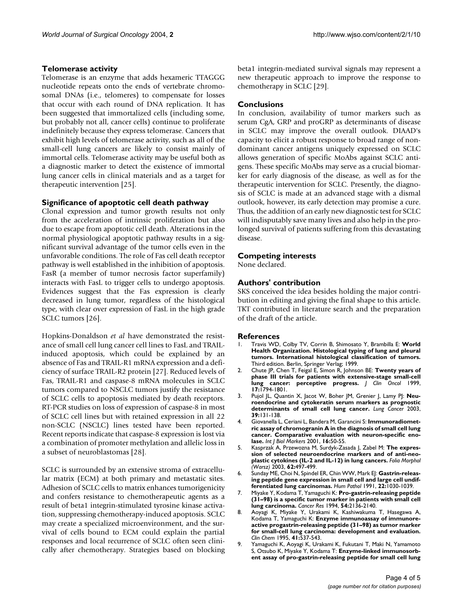#### **Telomerase activity**

Telomerase is an enzyme that adds hexameric TTAGGG nucleotide repeats onto the ends of vertebrate chromosomal DNAs (i.e., telomeres) to compensate for losses that occur with each round of DNA replication. It has been suggested that immortalized cells (including some, but probably not all, cancer cells) continue to proliferate indefinitely because they express telomerase. Cancers that exhibit high levels of telomerase activity, such as all of the small-cell lung cancers are likely to consist mainly of immortal cells. Telomerase activity may be useful both as a diagnostic marker to detect the existence of immortal lung cancer cells in clinical materials and as a target for therapeutic intervention [25].

#### **Significance of apoptotic cell death pathway**

Clonal expression and tumor growth results not only from the acceleration of intrinsic proliferation but also due to escape from apoptotic cell death. Alterations in the normal physiological apoptotic pathway results in a significant survival advantage of the tumor cells even in the unfavorable conditions. The role of Fas cell death receptor pathway is well established in the inhibition of apoptosis. FasR (a member of tumor necrosis factor superfamily) interacts with FasL to trigger cells to undergo apoptosis. Evidences suggest that the Fas expression is clearly decreased in lung tumor, regardless of the histological type, with clear over expression of FasL in the high grade SCLC tumors [26].

Hopkins-Donaldson *et al* have demonstrated the resistance of small cell lung cancer cell lines to FasL and TRAILinduced apoptosis, which could be explained by an absence of Fas and TRAIL-R1 mRNA expression and a deficiency of surface TRAIL-R2 protein [27]. Reduced levels of Fas, TRAIL-R1 and caspase-8 mRNA molecules in SCLC tumors compared to NSCLC tumors justify the resistance of SCLC cells to apoptosis mediated by death receptors. RT-PCR studies on loss of expression of caspase-8 in most of SCLC cell lines but with retained expression in all 22 non-SCLC (NSCLC) lines tested have been reported. Recent reports indicate that caspase-8 expression is lost via a combination of promoter methylation and allelic loss in a subset of neuroblastomas [28].

SCLC is surrounded by an extensive stroma of extracellular matrix (ECM) at both primary and metastatic sites. Adhesion of SCLC cells to matrix enhances tumorigenicity and confers resistance to chemotherapeutic agents as a result of beta1 integrin-stimulated tyrosine kinase activation, suppressing chemotherapy-induced apoptosis. SCLC may create a specialized microenvironment, and the survival of cells bound to ECM could explain the partial responses and local recurrence of SCLC often seen clinically after chemotherapy. Strategies based on blocking beta1 integrin-mediated survival signals may represent a new therapeutic approach to improve the response to chemotherapy in SCLC [29].

### **Conclusions**

In conclusion, availability of tumor markers such as serum CgA, GRP and proGRP as determinants of disease in SCLC may improve the overall outlook. DIAAD's capacity to elicit a robust response to broad range of nondominant cancer antigens uniquely expressed on SCLC allows generation of specific MoAbs against SCLC antigens. These specific MoAbs may serve as a crucial biomarker for early diagnosis of the disease, as well as for the therapeutic intervention for SCLC. Presently, the diagnosis of SCLC is made at an advanced stage with a dismal outlook, however, its early detection may promise a cure. Thus, the addition of an early new diagnostic test for SCLC will indisputably save many lives and also help in the prolonged survival of patients suffering from this devastating disease.

#### **Competing interests**

None declared.

#### **Authors' contribution**

SKS conceived the idea besides holding the major contribution in editing and giving the final shape to this article. TKT contributed in literature search and the preparation of the draft of the article.

#### **References**

- 1. Travis WD, Colby TV, Corrin B, Shimosato Y, Brambilla E: **World Health Organization. Histological typing of lung and pleural tumors. International histological classification of tumors.** Third edition. Berlin, Springer Verlag; 1999.
- 2. Chute JP, Chen T, Feigal E, Simon R, Johnson BE: **[Twenty years of](http://www.ncbi.nlm.nih.gov/entrez/query.fcgi?cmd=Retrieve&db=PubMed&dopt=Abstract&list_uids=10561217) [phase III trials for patients with extensive-stage small-cell](http://www.ncbi.nlm.nih.gov/entrez/query.fcgi?cmd=Retrieve&db=PubMed&dopt=Abstract&list_uids=10561217) [lung cancer: perceptive progress.](http://www.ncbi.nlm.nih.gov/entrez/query.fcgi?cmd=Retrieve&db=PubMed&dopt=Abstract&list_uids=10561217)** *J Clin Oncol* 1999, **17:**1794-1801.
- 3. Pujol JL, Quantin X, Jacot W, Boher JM, Grenier J, Lamy PJ: **[Neu](http://www.ncbi.nlm.nih.gov/entrez/query.fcgi?cmd=Retrieve&db=PubMed&dopt=Abstract&list_uids=10.1016/S0169-5002(02)00513-5)[roendocrine and cytokeratin serum markers as prognostic](http://www.ncbi.nlm.nih.gov/entrez/query.fcgi?cmd=Retrieve&db=PubMed&dopt=Abstract&list_uids=10.1016/S0169-5002(02)00513-5) [determinants of small cell lung cancer](http://www.ncbi.nlm.nih.gov/entrez/query.fcgi?cmd=Retrieve&db=PubMed&dopt=Abstract&list_uids=10.1016/S0169-5002(02)00513-5)[.](http://www.ncbi.nlm.nih.gov/entrez/query.fcgi?cmd=Retrieve&db=PubMed&dopt=Abstract&list_uids=12581564)** *Lung Cancer* 2003, **39:**131-138.
- 4. Giovanella L, Ceriani L, Bandera M, Garancini S: **[Immunoradiomet](http://www.ncbi.nlm.nih.gov/entrez/query.fcgi?cmd=Retrieve&db=PubMed&dopt=Abstract&list_uids=11288956)ric assay of chromogranin A in the diagnosis of small cell lung [cancer. Comparative evaluation with neuron-specific eno](http://www.ncbi.nlm.nih.gov/entrez/query.fcgi?cmd=Retrieve&db=PubMed&dopt=Abstract&list_uids=11288956)[lase.](http://www.ncbi.nlm.nih.gov/entrez/query.fcgi?cmd=Retrieve&db=PubMed&dopt=Abstract&list_uids=11288956)** *Int J Biol Markers* 2001, **16:**50-55.
- 5. Kasprzak A, Przewozna M, Surdyk-Zasada J, Zabel M: **[The expres](http://www.ncbi.nlm.nih.gov/entrez/query.fcgi?cmd=Retrieve&db=PubMed&dopt=Abstract&list_uids=14655151)[sion of selected neuroendocrine markers and of anti-neo](http://www.ncbi.nlm.nih.gov/entrez/query.fcgi?cmd=Retrieve&db=PubMed&dopt=Abstract&list_uids=14655151)[plastic cytokines \(IL-2 and IL-12\) in lung cancers.](http://www.ncbi.nlm.nih.gov/entrez/query.fcgi?cmd=Retrieve&db=PubMed&dopt=Abstract&list_uids=14655151)** *Folia Morphol (Warsz)* 2003, **62:**497-499.
- 6. Sunday ME, Choi N, Spindel ER, Chin WW, Mark EJ: **[Gastrin-releas](http://www.ncbi.nlm.nih.gov/entrez/query.fcgi?cmd=Retrieve&db=PubMed&dopt=Abstract&list_uids=10.1016/0046-8177(91)90011-D)[ing peptide gene expression in small cell and large cell undif](http://www.ncbi.nlm.nih.gov/entrez/query.fcgi?cmd=Retrieve&db=PubMed&dopt=Abstract&list_uids=10.1016/0046-8177(91)90011-D)[ferentiated lung carcinomas](http://www.ncbi.nlm.nih.gov/entrez/query.fcgi?cmd=Retrieve&db=PubMed&dopt=Abstract&list_uids=10.1016/0046-8177(91)90011-D)[.](http://www.ncbi.nlm.nih.gov/entrez/query.fcgi?cmd=Retrieve&db=PubMed&dopt=Abstract&list_uids=1668786)** *Hum Pathol* 1991, **22:**1030-1039.
- 7. Miyake Y, Kodama T, Yamaguchi K: **[Pro-gastrin-releasing peptide](http://www.ncbi.nlm.nih.gov/entrez/query.fcgi?cmd=Retrieve&db=PubMed&dopt=Abstract&list_uids=8174119) [\(31–98\) is a specific tumor marker in patients with small cell](http://www.ncbi.nlm.nih.gov/entrez/query.fcgi?cmd=Retrieve&db=PubMed&dopt=Abstract&list_uids=8174119) [lung carcinoma.](http://www.ncbi.nlm.nih.gov/entrez/query.fcgi?cmd=Retrieve&db=PubMed&dopt=Abstract&list_uids=8174119)** *Cancer Res* 1994, **54:**2136-2140.
- 8. Aoyagi K, Miyake Y, Urakami K, Kashiwakuma T, Hasegawa A, Kodama T, Yamaguchi K: **[Enzyme immunoassay of immunore](http://www.ncbi.nlm.nih.gov/entrez/query.fcgi?cmd=Retrieve&db=PubMed&dopt=Abstract&list_uids=7720242)active progastrin-releasing peptide (31–98) as tumor marker [for small-cell lung carcinoma: development and evaluation.](http://www.ncbi.nlm.nih.gov/entrez/query.fcgi?cmd=Retrieve&db=PubMed&dopt=Abstract&list_uids=7720242)** *Clin Chem* 1995, **41:**537-543.
- 9. Yamaguchi K, Aoyagi K, Urakami K, Fukutani T, Maki N, Yamamoto S, Otsubo K, Miyake Y, Kodama T: **[Enzyme-linked immunosorb](http://www.ncbi.nlm.nih.gov/entrez/query.fcgi?cmd=Retrieve&db=PubMed&dopt=Abstract&list_uids=7559089)[ent assay of pro-gastrin-releasing peptide for small cell lung](http://www.ncbi.nlm.nih.gov/entrez/query.fcgi?cmd=Retrieve&db=PubMed&dopt=Abstract&list_uids=7559089)**